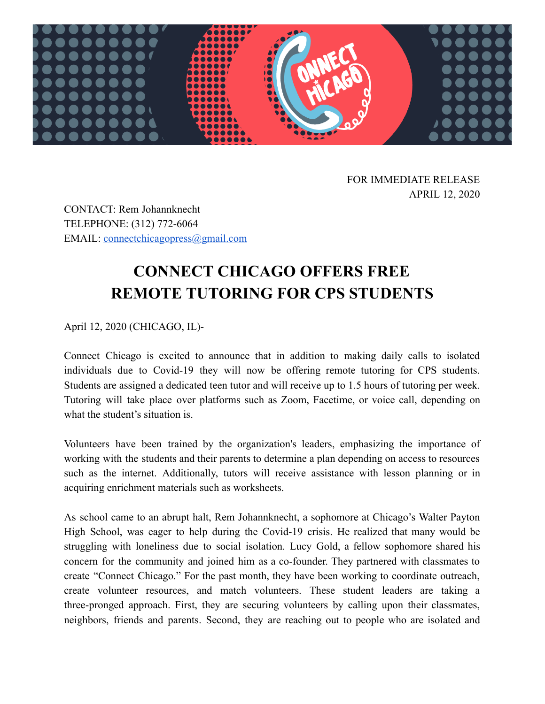

FOR IMMEDIATE RELEASE APRIL 12, 2020

CONTACT: Rem Johannknecht TELEPHONE: (312) 772-6064 EMAIL: [connectchicagopress@gmail.com](mailto:connectchicagoinfo@gmail.com) 

## **CONNECT CHICAGO OFFERS FREE REMOTE TUTORING FOR CPS STUDENTS**

April 12, 2020 (CHICAGO, IL)-

Connect Chicago is excited to announce that in addition to making daily calls to isolated individuals due to Covid-19 they will now be offering remote tutoring for CPS students. Students are assigned a dedicated teen tutor and will receive up to 1.5 hours of tutoring per week. Tutoring will take place over platforms such as Zoom, Facetime, or voice call, depending on what the student's situation is.

Volunteers have been trained by the organization's leaders, emphasizing the importance of working with the students and their parents to determine a plan depending on access to resources such as the internet. Additionally, tutors will receive assistance with lesson planning or in acquiring enrichment materials such as worksheets.

As school came to an abrupt halt, Rem Johannknecht, a sophomore at Chicago's Walter Payton High School, was eager to help during the Covid-19 crisis. He realized that many would be struggling with loneliness due to social isolation. Lucy Gold, a fellow sophomore shared his concern for the community and joined him as a co-founder. They partnered with classmates to create "Connect Chicago." For the past month, they have been working to coordinate outreach, create volunteer resources, and match volunteers. These student leaders are taking a three-pronged approach. First, they are securing volunteers by calling upon their classmates, neighbors, friends and parents. Second, they are reaching out to people who are isolated and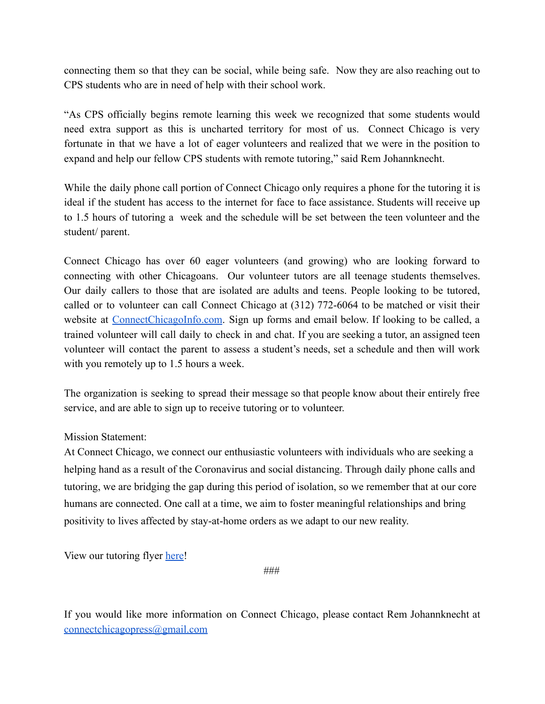connecting them so that they can be social, while being safe. Now they are also reaching out to CPS students who are in need of help with their school work.

"As CPS officially begins remote learning this week we recognized that some students would need extra support as this is uncharted territory for most of us. Connect Chicago is very fortunate in that we have a lot of eager volunteers and realized that we were in the position to expand and help our fellow CPS students with remote tutoring," said Rem Johannknecht.

While the daily phone call portion of Connect Chicago only requires a phone for the tutoring it is ideal if the student has access to the internet for face to face assistance. Students will receive up to 1.5 hours of tutoring a week and the schedule will be set between the teen volunteer and the student/ parent.

Connect Chicago has over 60 eager volunteers (and growing) who are looking forward to connecting with other Chicagoans. Our volunteer tutors are all teenage students themselves. Our daily callers to those that are isolated are adults and teens. People looking to be tutored, called or to volunteer can call Connect Chicago at (312) 772-6064 to be matched or visit their website at ConnectChicagoInfo.com. Sign up forms and email below. If looking to be called, a trained volunteer will call daily to check in and chat. If you are seeking a tutor, an assigned teen volunteer will contact the parent to assess a student's needs, set a schedule and then will work with you remotely up to 1.5 hours a week.

The organization is seeking to spread their message so that people know about their entirely free service, and are able to sign up to receive tutoring or to volunteer.

## Mission Statement:

At Connect Chicago, we connect our enthusiastic volunteers with individuals who are seeking a helping hand as a result of the Coronavirus and social distancing. Through daily phone calls and tutoring, we are bridging the gap during this period of isolation, so we remember that at our core humans are connected. One call at a time, we aim to foster meaningful relationships and bring positivity to lives affected by stay-at-home orders as we adapt to our new reality.

View our tutoring flyer [here](https://docs.google.com/document/d/1hYFtWL-nP5bkba6YnkfcZGmFH0WWbeTN1fIZpagZLlI/edit?usp=sharing)!

###

If you would like more information on Connect Chicago, please contact Rem Johannknecht at [connectchicagopress@gmail.com](mailto:connectchicagopress@gmail.com)